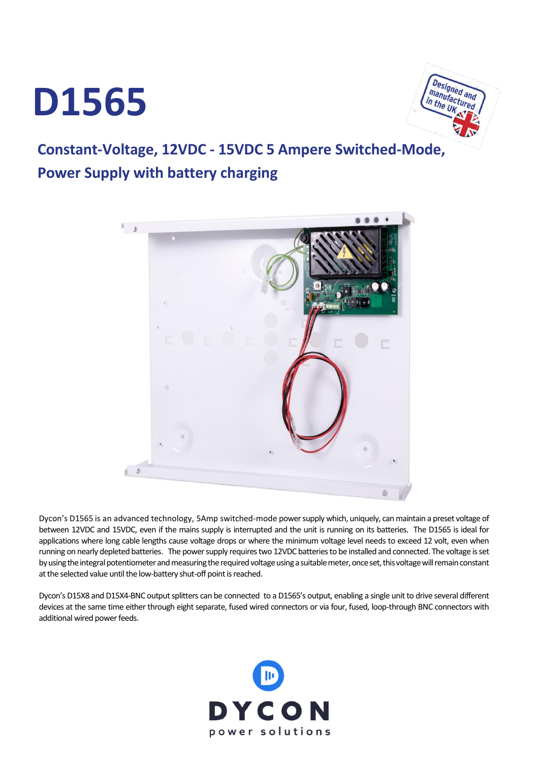## **D1565**



## **Constant-Voltage, 12VDC - 15VDC 5 Ampere Switched-Mode, Power Supply with battery charging**



Dycon's D1565 is an advanced technology, 5Amp switched-mode power supply which, uniquely, can maintain a preset voltage of between 12VDC and 15VDC, even if the mains supply is interrupted and the unit is running on its batteries. The D1565 is ideal for applications where long cable lengths cause voltage drops or where the minimum voltage level needs to exceed 12 volt, even when running on nearly depleted batteries. The power supply requires two 12VDC batteries to be installed and connected. The voltage is set by using the integral potentiometer and measuring the required voltage using a suitable meter, once set, this voltage will remain constant at the selected value until the low-battery shut-off point is reached.

Dycon's D15X8 and D15X4-BNC output splitters can be connected to a D1565's output, enabling a single unit to drive several different devices at the same time either through eight separate, fused wired connectors or via four, fused, loop-through BNC connectors with additional wired power feeds.